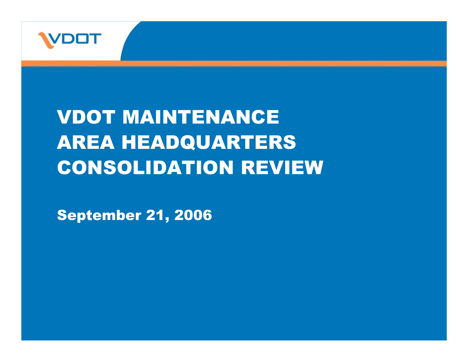

## VDOT MAINTENANCE AREA HEADQUARTERS CONSOLIDATION REVIEW

September 21, 2006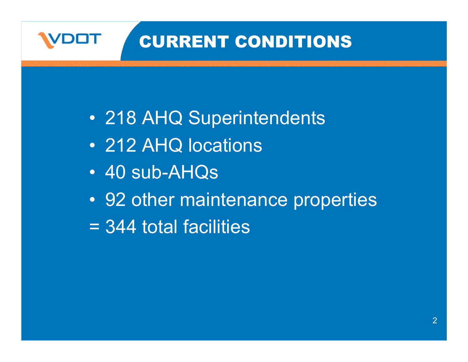### CURRENT CONDITIONS

- 218 AHQ Superintendents
- 212 AHQ locations
- 40 sub-AHQs
- 92 other maintenance properties
- = 344 total facilities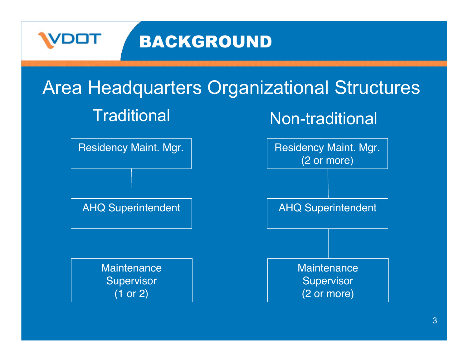

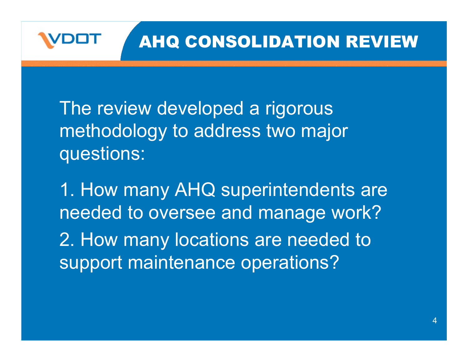

#### AHQ CONSOLIDATION REVIEW

The review developed a rigorous methodology to address two major questions:

1. How many AHQ superintendents are needed to oversee and manage work? 2. How many locations are needed to support maintenance operations?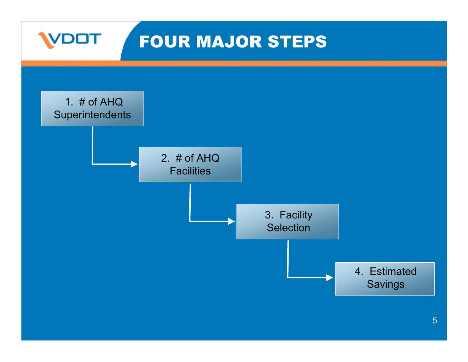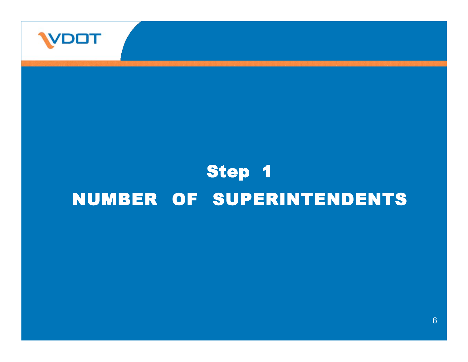

### Step 1 NUMBER OF SUPERINTENDENTS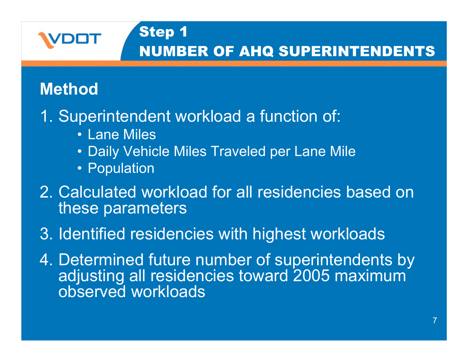

#### Step 1 NUMBER OF AHQ SUPERINTENDENTS

#### **Method**

- 1. Superintendent workload a function of:
	- Lane Miles
	- Daily Vehicle Miles Traveled per Lane Mile
	- Population
- 2. Calculated workload for all residencies based on these parameters
- 3. Identified residencies with highest workloads
- 4. Determined future number of superintendents by adjusting all residencies toward 2005 maximum observed workloads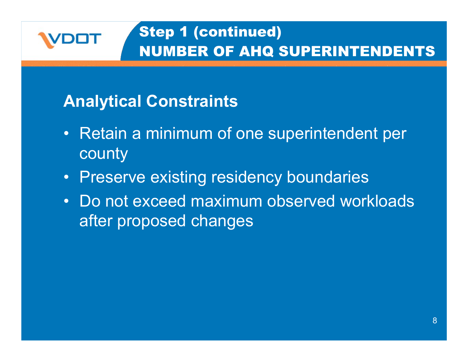

#### **Analytical Constraints**

- Retain a minimum of one superintendent per county
- Preserve existing residency boundaries
- Do not exceed maximum observed workloads after proposed changes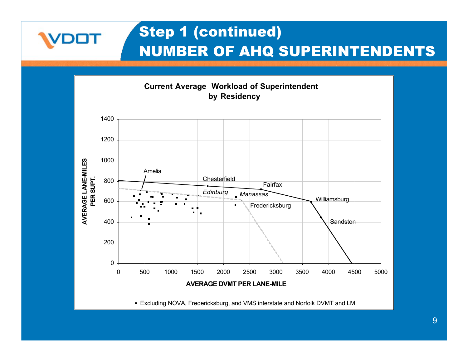

VDOT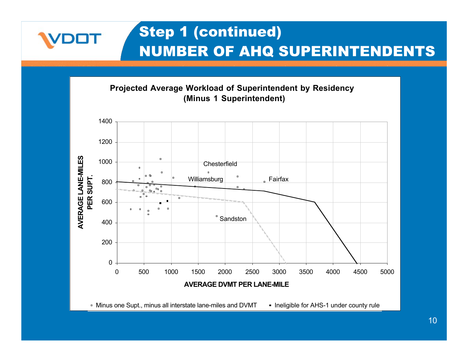

VDOT

10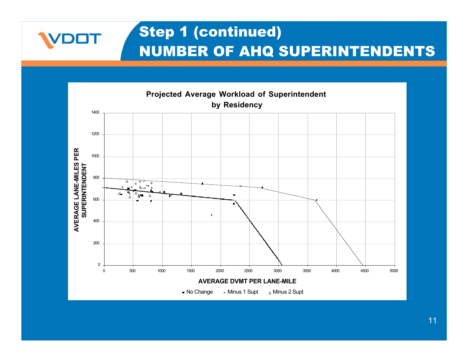

VDOT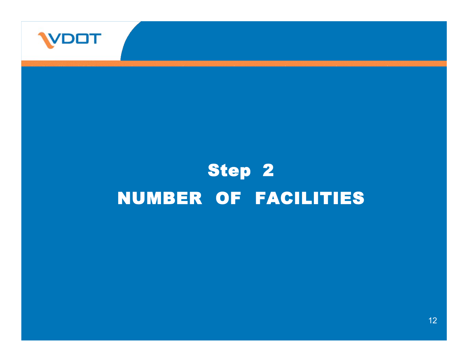

# Step 2 NUMBER OF FACILITIES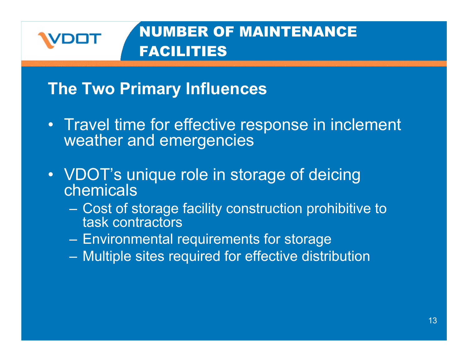

#### NUMBER OF MAINTENANCE FACILITIES

#### **The Two Primary Influences**

- Travel time for effective response in inclement weather and emergencies
- VDOT's unique role in storage of deicing chemicals
	- Cost of storage facility construction prohibitive to task contractors
	- Environmental requirements for storage
	- Multiple sites required for effective distribution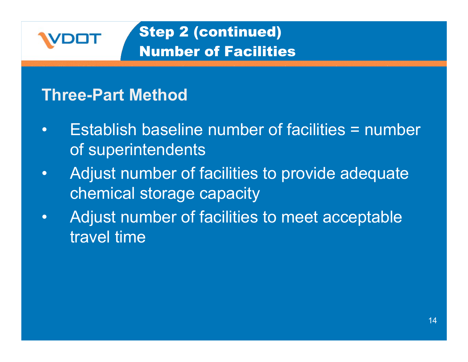

#### Step 2 (continued) Number of Facilities

#### **Three-Part Method**

- Establish baseline number of facilities = number of superintendents
- Adjust number of facilities to provide adequate chemical storage capacity
- Adjust number of facilities to meet acceptable travel time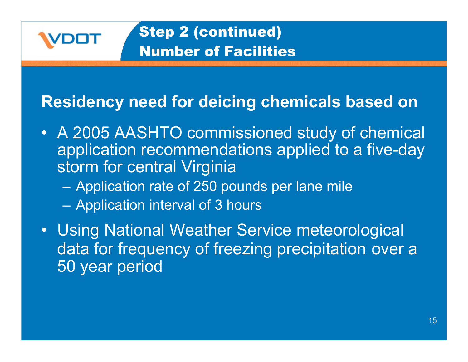

#### **Residency need for deicing chemicals based on**

- A 2005 AASHTO commissioned study of chemical application recommendations applied to a five-day storm for central Virginia
	- Application rate of 250 pounds per lane mile
	- Application interval of 3 hours
- Using National Weather Service meteorological data for frequency of freezing precipitation over a 50 year period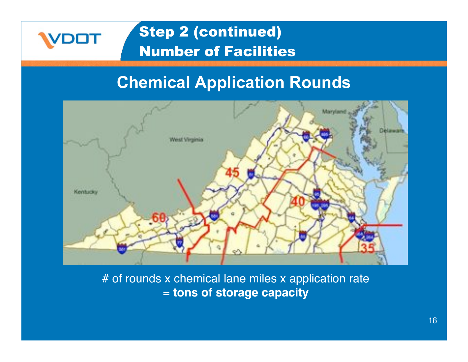#### Step 2 (continued) Number of Facilities

#### **Chemical Application Rounds**



# of rounds x chemical lane miles x application rate = **tons of storage capacity**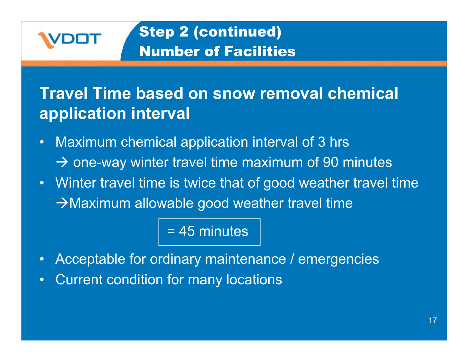

#### Step 2 (continued) Number of Facilities

#### **Travel Time based on snow removal chemical application interval**

- Maximum chemical application interval of 3 hrs  $\rightarrow$  one-way winter travel time maximum of 90 minutes
- Winter travel time is twice that of good weather travel time  $\rightarrow$  Maximum allowable good weather travel time

#### = 45 minutes

- Acceptable for ordinary maintenance / emergencies
- Current condition for many locations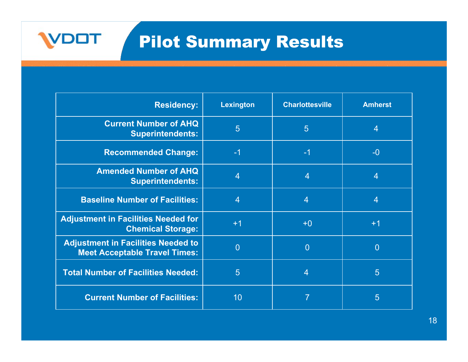### Pilot Summary Results

**VDOT** 

| <b>Residency:</b>                                                                 | Lexington      | <b>Charlottesville</b> | <b>Amherst</b>  |
|-----------------------------------------------------------------------------------|----------------|------------------------|-----------------|
| <b>Current Number of AHQ</b><br><b>Superintendents:</b>                           | 5              | $5\overline{)}$        | $\overline{4}$  |
| <b>Recommended Change:</b>                                                        | $-1$           | $-1$                   | $-0$            |
| <b>Amended Number of AHQ</b><br><b>Superintendents:</b>                           | 4              | $\overline{4}$         | $\overline{4}$  |
| <b>Baseline Number of Facilities:</b>                                             | $\overline{4}$ | $\overline{4}$         | $\overline{4}$  |
| <b>Adjustment in Facilities Needed for</b><br><b>Chemical Storage:</b>            | $+1$           | $+0$                   | $+1$            |
| <b>Adjustment in Facilities Needed to</b><br><b>Meet Acceptable Travel Times:</b> | $\overline{0}$ | $\overline{0}$         | $\overline{0}$  |
| <b>Total Number of Facilities Needed:</b>                                         | 5              | $\overline{4}$         | $5\overline{)}$ |
| <b>Current Number of Facilities:</b>                                              | 10             |                        | 5               |